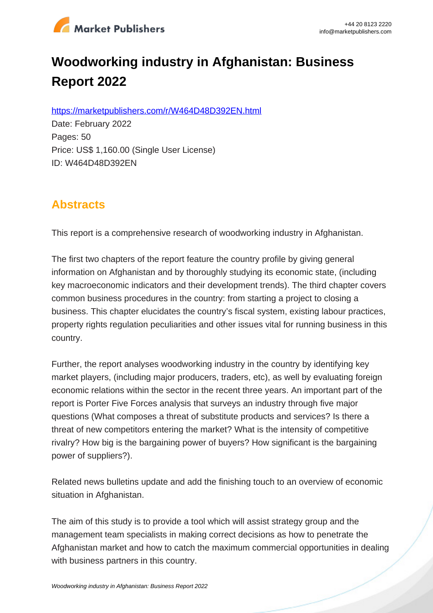

# **Woodworking industry in Afghanistan: Business Report 2022**

https://marketpublishers.com/r/W464D48D392EN.html

Date: February 2022 Pages: 50 Price: US\$ 1,160.00 (Single User License) ID: W464D48D392EN

# **Abstracts**

This report is a comprehensive research of woodworking industry in Afghanistan.

The first two chapters of the report feature the country profile by giving general information on Afghanistan and by thoroughly studying its economic state, (including key macroeconomic indicators and their development trends). The third chapter covers common business procedures in the country: from starting a project to closing a business. This chapter elucidates the country's fiscal system, existing labour practices, property rights regulation peculiarities and other issues vital for running business in this country.

Further, the report analyses woodworking industry in the country by identifying key market players, (including major producers, traders, etc), as well by evaluating foreign economic relations within the sector in the recent three years. An important part of the report is Porter Five Forces analysis that surveys an industry through five major questions (What composes a threat of substitute products and services? Is there a threat of new competitors entering the market? What is the intensity of competitive rivalry? How big is the bargaining power of buyers? How significant is the bargaining power of suppliers?).

Related news bulletins update and add the finishing touch to an overview of economic situation in Afghanistan.

The aim of this study is to provide a tool which will assist strategy group and the management team specialists in making correct decisions as how to penetrate the Afghanistan market and how to catch the maximum commercial opportunities in dealing with business partners in this country.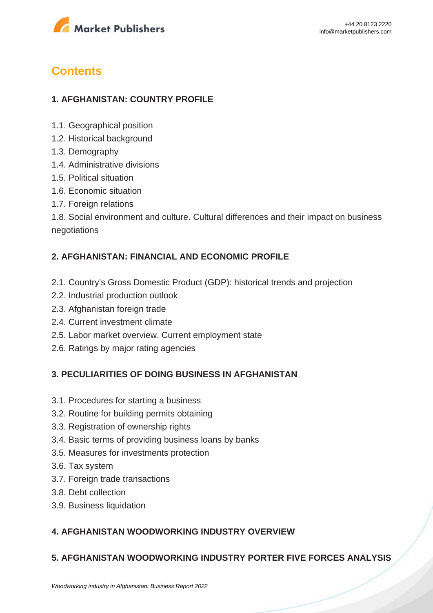

# **Contents**

## **1. AFGHANISTAN: COUNTRY PROFILE**

- 1.1. Geographical position
- 1.2. Historical background
- 1.3. Demography
- 1.4. Administrative divisions
- 1.5. Political situation
- 1.6. Economic situation
- 1.7. Foreign relations

1.8. Social environment and culture. Cultural differences and their impact on business negotiations

#### **2. AFGHANISTAN: FINANCIAL AND ECONOMIC PROFILE**

- 2.1. Country's Gross Domestic Product (GDP): historical trends and projection
- 2.2. Industrial production outlook
- 2.3. Afghanistan foreign trade
- 2.4. Current investment climate
- 2.5. Labor market overview. Current employment state
- 2.6. Ratings by major rating agencies

#### **3. PECULIARITIES OF DOING BUSINESS IN AFGHANISTAN**

- 3.1. Procedures for starting a business
- 3.2. Routine for building permits obtaining
- 3.3. Registration of ownership rights
- 3.4. Basic terms of providing business loans by banks
- 3.5. Measures for investments protection
- 3.6. Tax system
- 3.7. Foreign trade transactions
- 3.8. Debt collection
- 3.9. Business liquidation

### **4. AFGHANISTAN WOODWORKING INDUSTRY OVERVIEW**

### **5. AFGHANISTAN WOODWORKING INDUSTRY PORTER FIVE FORCES ANALYSIS**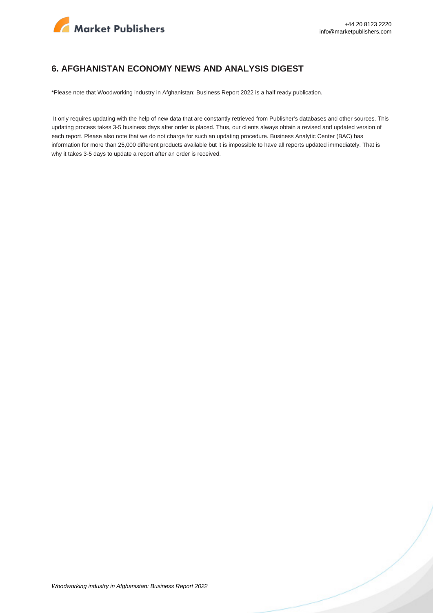

#### **6. AFGHANISTAN ECONOMY NEWS AND ANALYSIS DIGEST**

\*Please note that Woodworking industry in Afghanistan: Business Report 2022 is a half ready publication.

 It only requires updating with the help of new data that are constantly retrieved from Publisher's databases and other sources. This updating process takes 3-5 business days after order is placed. Thus, our clients always obtain a revised and updated version of each report. Please also note that we do not charge for such an updating procedure. Business Analytic Center (BAC) has information for more than 25,000 different products available but it is impossible to have all reports updated immediately. That is why it takes 3-5 days to update a report after an order is received.